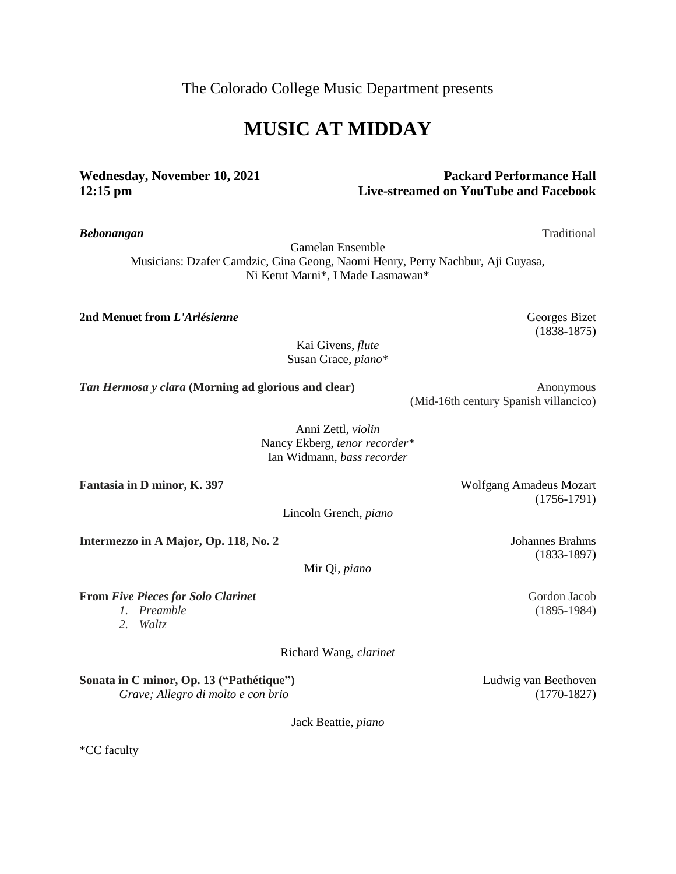The Colorado College Music Department presents

# **MUSIC AT MIDDAY**

# Wednesday, November 10, 2021 **Packard Performance Hall 12:15 pm Live-streamed on YouTube and Facebook**

Gamelan Ensemble Musicians: Dzafer Camdzic, Gina Geong, Naomi Henry, Perry Nachbur, Aji Guyasa, Ni Ketut Marni\*, I Made Lasmawan\*

*Bebonangan* Traditional

**2nd Menuet from** *L'Arlésienne* Georges Bizet

(1838-1875)

Kai Givens, *flute* Susan Grace, *piano*\*

*Tan Hermosa y clara* **(Morning ad glorious and clear) Anonymous Anonymous** 

(Mid-16th century Spanish villancico)

Nancy Ekberg, *tenor recorder\** Ian Widmann, *bass recorder*

Fantasia in D minor, K. 397 Wolfgang Amadeus Mozart

Lincoln Grench, *piano*

**Intermezzo in A Major, Op. 118, No. 2** Johannes Brahms

Mir Qi, *piano*

**From** *Five Pieces for Solo Clarinet* Gordon Jacob Gordon Jacob

*1. Preamble* (1895-1984)

*2. Waltz*

Richard Wang*, clarinet*

**Sonata in C minor, Op. 13 ("Pathétique")** Ludwig van Beethoven *Grave; Allegro di molto e con brio* (1770-1827)

Jack Beattie*, piano*

\*CC faculty

(1756-1791)

(1833-1897)

Anni Zettl, *violin*